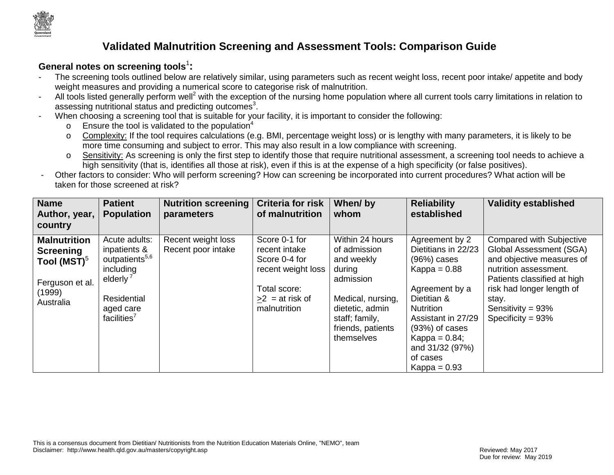

# **Validated Malnutrition Screening and Assessment Tools: Comparison Guide**

#### **General notes on screening tools**<sup>1</sup> **:**

- The screening tools outlined below are relatively similar, using parameters such as recent weight loss, recent poor intake/ appetite and body weight measures and providing a numerical score to categorise risk of malnutrition.
- All tools listed generally perform well<sup>2</sup> with the exception of the nursing home population where all current tools carry limitations in relation to assessing nutritional status and predicting outcomes<sup>3</sup>.
- When choosing a screening tool that is suitable for your facility, it is important to consider the following:
	- $\circ$  Ensure the tool is validated to the population<sup>4</sup>
	- o Complexity: If the tool requires calculations (e.g. BMI, percentage weight loss) or is lengthy with many parameters, it is likely to be more time consuming and subject to error. This may also result in a low compliance with screening.
	- o Sensitivity: As screening is only the first step to identify those that require nutritional assessment, a screening tool needs to achieve a high sensitivity (that is, identifies all those at risk), even if this is at the expense of a high specificity (or false positives).
- Other factors to consider: Who will perform screening? How can screening be incorporated into current procedures? What action will be taken for those screened at risk?

| <b>Name</b><br>Author, year,                                                                               | <b>Patient</b><br><b>Population</b>                                                                                                                     | <b>Nutrition screening</b><br>parameters | <b>Criteria for risk</b><br>of malnutrition                                                                                | When/by<br>whom                                                                                                                                                   | <b>Reliability</b><br>established                                                                                                                                                                                                            | <b>Validity established</b>                                                                                                                                                                                                           |
|------------------------------------------------------------------------------------------------------------|---------------------------------------------------------------------------------------------------------------------------------------------------------|------------------------------------------|----------------------------------------------------------------------------------------------------------------------------|-------------------------------------------------------------------------------------------------------------------------------------------------------------------|----------------------------------------------------------------------------------------------------------------------------------------------------------------------------------------------------------------------------------------------|---------------------------------------------------------------------------------------------------------------------------------------------------------------------------------------------------------------------------------------|
| country                                                                                                    |                                                                                                                                                         |                                          |                                                                                                                            |                                                                                                                                                                   |                                                                                                                                                                                                                                              |                                                                                                                                                                                                                                       |
| <b>Malnutrition</b><br><b>Screening</b><br>Tool (MST) $^{\circ}$<br>Ferguson et al.<br>(1999)<br>Australia | Acute adults:<br>inpatients &<br>outpatients <sup>5,6</sup><br>including<br>elderly <sup>7</sup><br>Residential<br>aged care<br>facilities <sup>7</sup> | Recent weight loss<br>Recent poor intake | Score 0-1 for<br>recent intake<br>Score 0-4 for<br>recent weight loss<br>Total score:<br>$>2$ = at risk of<br>malnutrition | Within 24 hours<br>of admission<br>and weekly<br>during<br>admission<br>Medical, nursing,<br>dietetic, admin<br>staff; family,<br>friends, patients<br>themselves | Agreement by 2<br>Dietitians in 22/23<br>$(96%)$ cases<br>Kappa = $0.88$<br>Agreement by a<br>Dietitian &<br><b>Nutrition</b><br>Assistant in 27/29<br>$(93%)$ of cases<br>Kappa = $0.84$ ;<br>and 31/32 (97%)<br>of cases<br>Kappa = $0.93$ | <b>Compared with Subjective</b><br>Global Assessment (SGA)<br>and objective measures of<br>nutrition assessment.<br>Patients classified at high<br>risk had longer length of<br>stay.<br>Sensitivity = $93\%$<br>Specificity = $93\%$ |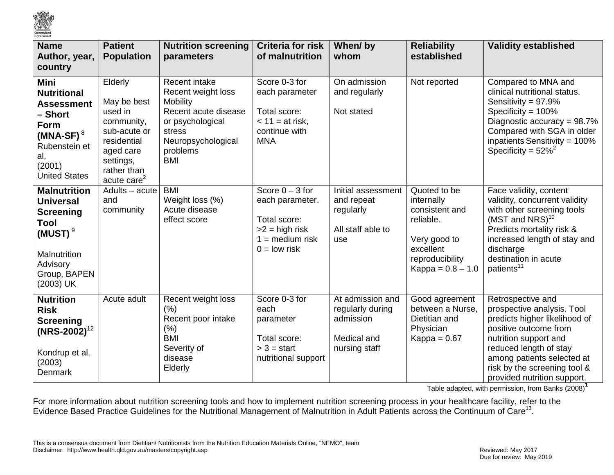

| <b>Name</b><br>Author, year,<br>country                                                                                                       | <b>Patient</b><br><b>Population</b>                                                                                                       | <b>Nutrition screening</b><br>parameters                                                                                                                     | <b>Criteria for risk</b><br>of malnutrition                                                                            | When/by<br>whom                                                                   | <b>Reliability</b><br>established                                                                                                | <b>Validity established</b>                                                                                                                                                                                                                               |
|-----------------------------------------------------------------------------------------------------------------------------------------------|-------------------------------------------------------------------------------------------------------------------------------------------|--------------------------------------------------------------------------------------------------------------------------------------------------------------|------------------------------------------------------------------------------------------------------------------------|-----------------------------------------------------------------------------------|----------------------------------------------------------------------------------------------------------------------------------|-----------------------------------------------------------------------------------------------------------------------------------------------------------------------------------------------------------------------------------------------------------|
| Mini<br><b>Nutritional</b><br><b>Assessment</b><br>– Short<br>Form<br>(MNA-SF) $^8$<br>Rubenstein et<br>al.<br>(2001)<br><b>United States</b> | Elderly<br>May be best<br>used in<br>community,<br>sub-acute or<br>residential<br>aged care<br>settings,<br>rather than<br>acute care $2$ | Recent intake<br>Recent weight loss<br><b>Mobility</b><br>Recent acute disease<br>or psychological<br>stress<br>Neuropsychological<br>problems<br><b>BMI</b> | Score 0-3 for<br>each parameter<br>Total score:<br>$<$ 11 = at risk,<br>continue with<br><b>MNA</b>                    | On admission<br>and regularly<br>Not stated                                       | Not reported                                                                                                                     | Compared to MNA and<br>clinical nutritional status.<br>Sensitivity = 97.9%<br>Specificity = $100\%$<br>Diagnostic accuracy = 98.7%<br>Compared with SGA in older<br>inpatients Sensitivity = $100\%$<br>Specificity = $52\%^2$                            |
| <b>Malnutrition</b><br><b>Universal</b><br><b>Screening</b><br>Tool<br>(MUST) $^9$<br>Malnutrition<br>Advisory<br>Group, BAPEN<br>(2003) UK   | Adults - acute<br>and<br>community                                                                                                        | <b>BMI</b><br>Weight loss (%)<br>Acute disease<br>effect score                                                                                               | Score $0 - 3$ for<br>each parameter.<br>Total score:<br>$>2$ = high risk<br>$1 = \text{medium risk}$<br>$0 =$ low risk | Initial assessment<br>and repeat<br>regularly<br>All staff able to<br>use         | Quoted to be<br>internally<br>consistent and<br>reliable.<br>Very good to<br>excellent<br>reproducibility<br>$Kappa = 0.8 - 1.0$ | Face validity, content<br>validity, concurrent validity<br>with other screening tools<br>(MST and NRS) <sup>10</sup><br>Predicts mortality risk &<br>increased length of stay and<br>discharge<br>destination in acute<br>patients <sup>11</sup>          |
| <b>Nutrition</b><br><b>Risk</b><br><b>Screening</b><br>$(NRS-2002)^{12}$<br>Kondrup et al.<br>(2003)<br>Denmark                               | Acute adult                                                                                                                               | Recent weight loss<br>(% )<br>Recent poor intake<br>(% )<br><b>BMI</b><br>Severity of<br>disease<br>Elderly                                                  | Score 0-3 for<br>each<br>parameter<br>Total score:<br>$> 3 = start$<br>nutritional support                             | At admission and<br>regularly during<br>admission<br>Medical and<br>nursing staff | Good agreement<br>between a Nurse,<br>Dietitian and<br>Physician<br>Kappa = $0.67$                                               | Retrospective and<br>prospective analysis. Tool<br>predicts higher likelihood of<br>positive outcome from<br>nutrition support and<br>reduced length of stay<br>among patients selected at<br>risk by the screening tool &<br>provided nutrition support. |

Table adapted, with permission, from Banks (2008)**<sup>1</sup>**

For more information about nutrition screening tools and how to implement nutrition screening process in your healthcare facility, refer to the Evidence Based Practice Guidelines for the Nutritional Management of Malnutrition in Adult Patients across the Continuum of Care<sup>13</sup>.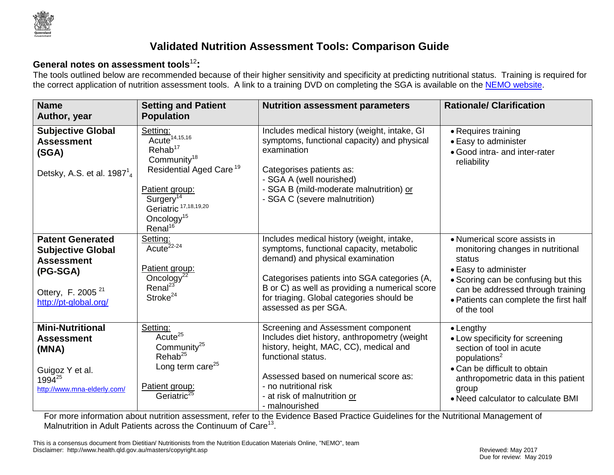

## **Validated Nutrition Assessment Tools: Comparison Guide**

### **General notes on assessment tools**<sup>12</sup> **:**

The tools outlined below are recommended because of their higher sensitivity and specificity at predicting nutritional status. Training is required for the correct application of nutrition assessment tools. A link to a training DVD on completing the SGA is available on the [NEMO website.](http://10.21.44.51/s/search.html?collection=QHEPS_WWW&scope=qheps.health.qld.gov.au/metronorth,hi.bns.health.qld.gov.au&query=nutrition%20assessment%20DVD)

| <b>Name</b><br>Author, year                                                                                                                    | <b>Setting and Patient</b><br><b>Population</b>                                                                                                                                                                                                     | <b>Nutrition assessment parameters</b>                                                                                                                                                                                                                                                           | <b>Rationale/ Clarification</b>                                                                                                                                                                                                          |
|------------------------------------------------------------------------------------------------------------------------------------------------|-----------------------------------------------------------------------------------------------------------------------------------------------------------------------------------------------------------------------------------------------------|--------------------------------------------------------------------------------------------------------------------------------------------------------------------------------------------------------------------------------------------------------------------------------------------------|------------------------------------------------------------------------------------------------------------------------------------------------------------------------------------------------------------------------------------------|
| <b>Subjective Global</b><br><b>Assessment</b><br>(SGA)<br>Detsky, A.S. et al. $198714$                                                         | Setting:<br>Acute <sup>14,15,16</sup><br>Rehab <sup>17</sup><br>Community <sup>18</sup><br>Residential Aged Care <sup>19</sup><br>Patient group:<br>Surgery <sup>14</sup><br>Geriatric 17,18,19,20<br>Oncology <sup>15</sup><br>Renal <sup>16</sup> | Includes medical history (weight, intake, GI<br>symptoms, functional capacity) and physical<br>examination<br>Categorises patients as:<br>- SGA A (well nourished)<br>- SGA B (mild-moderate malnutrition) or<br>- SGA C (severe malnutrition)                                                   | • Requires training<br>• Easy to administer<br>· Good intra- and inter-rater<br>reliability                                                                                                                                              |
| <b>Patent Generated</b><br><b>Subjective Global</b><br><b>Assessment</b><br>(PG-SGA)<br>Ottery, F. 2005 <sup>21</sup><br>http://pt-global.org/ | Setting:<br>Acute <sup>22-24</sup><br>Patient group:<br>Oncology $2\overline{2}$<br>Renal <sup>23</sup><br>Stroke <sup>24</sup>                                                                                                                     | Includes medical history (weight, intake,<br>symptoms, functional capacity, metabolic<br>demand) and physical examination<br>Categorises patients into SGA categories (A,<br>B or C) as well as providing a numerical score<br>for triaging. Global categories should be<br>assessed as per SGA. | • Numerical score assists in<br>monitoring changes in nutritional<br>status<br>• Easy to administer<br>• Scoring can be confusing but this<br>can be addressed through training<br>• Patients can complete the first half<br>of the tool |
| <b>Mini-Nutritional</b><br><b>Assessment</b><br>(MNA)<br>Guigoz Y et al.<br>1994 <sup>25</sup><br>http://www.mna-elderly.com/                  | Setting:<br>Acute <sup>25</sup><br>Community <sup>25</sup><br>Rehab <sup>25</sup><br>Long term care <sup>25</sup><br>Patient group:<br>Geriatric <sup>25</sup>                                                                                      | Screening and Assessment component<br>Includes diet history, anthropometry (weight<br>history, height, MAC, CC), medical and<br>functional status.<br>Assessed based on numerical score as:<br>- no nutritional risk<br>- at risk of malnutrition or<br>- malnourished                           | $\bullet$ Lengthy<br>• Low specificity for screening<br>section of tool in acute<br>populations <sup>2</sup><br>• Can be difficult to obtain<br>anthropometric data in this patient<br>group<br>• Need calculator to calculate BMI       |

For more information about nutrition assessment, refer to the Evidence Based Practice Guidelines for the Nutritional Management of Malnutrition in Adult Patients across the Continuum of Care<sup>13</sup>.

This is a consensus document from Dietitian/ Nutritionists from the Nutrition Education Materials Online, "NEMO", team Disclaimer: http://www.health.qld.gov.au/masters/copyright.asp **Reviewed: May 2017** Reviewed: May 2017